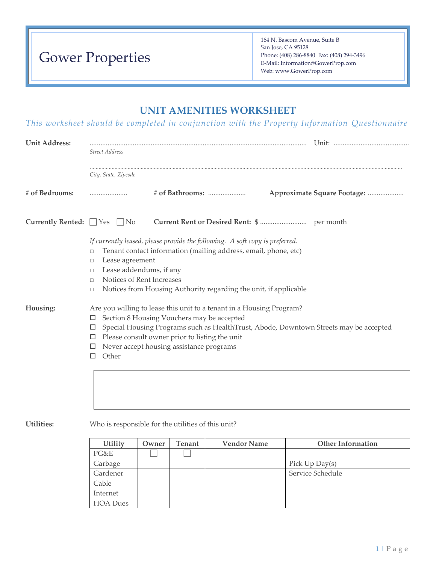# Gower Properties

164 N. Bascom Avenue, Suite B San Jose, CA 95128 Phone: (408) 286-8840 Fax: (408) 294-3496 E-Mail: Information@GowerProp.com Web: www.GowerProp.com

## **UNIT AMENITIES WORKSHEET**

*This worksheet should be completed in conjunction with the Property Information Questionnaire*

| <b>Unit Address:</b>                                                                                                                                                                                                                                                                                                                                      |                                                                                                                      |       |               |                                                                                                                                                                                                                     |  |                             |  |
|-----------------------------------------------------------------------------------------------------------------------------------------------------------------------------------------------------------------------------------------------------------------------------------------------------------------------------------------------------------|----------------------------------------------------------------------------------------------------------------------|-------|---------------|---------------------------------------------------------------------------------------------------------------------------------------------------------------------------------------------------------------------|--|-----------------------------|--|
|                                                                                                                                                                                                                                                                                                                                                           | <b>Street Address</b>                                                                                                |       |               |                                                                                                                                                                                                                     |  |                             |  |
|                                                                                                                                                                                                                                                                                                                                                           | City, State, Zipcode                                                                                                 |       |               |                                                                                                                                                                                                                     |  |                             |  |
| # of Bedrooms:                                                                                                                                                                                                                                                                                                                                            |                                                                                                                      |       |               |                                                                                                                                                                                                                     |  | Approximate Square Footage: |  |
| <b>Currently Rented:</b> $\Box$ Yes $\Box$ No                                                                                                                                                                                                                                                                                                             |                                                                                                                      |       |               |                                                                                                                                                                                                                     |  |                             |  |
|                                                                                                                                                                                                                                                                                                                                                           | $\Box$<br>Lease agreement<br>□<br>Lease addendums, if any<br>$\Box$<br>Notices of Rent Increases<br>$\Box$<br>$\Box$ |       |               | If currently leased, please provide the following. A soft copy is preferred.<br>Tenant contact information (mailing address, email, phone, etc)<br>Notices from Housing Authority regarding the unit, if applicable |  |                             |  |
| Housing:<br>Are you willing to lease this unit to a tenant in a Housing Program?<br>Section 8 Housing Vouchers may be accepted<br>□<br>Special Housing Programs such as HealthTrust, Abode, Downtown Streets may be accepted<br>□<br>$\Box$ Please consult owner prior to listing the unit<br>Never accept housing assistance programs<br>□<br>Other<br>□ |                                                                                                                      |       |               |                                                                                                                                                                                                                     |  |                             |  |
|                                                                                                                                                                                                                                                                                                                                                           |                                                                                                                      |       |               |                                                                                                                                                                                                                     |  |                             |  |
| Utilities:                                                                                                                                                                                                                                                                                                                                                | Who is responsible for the utilities of this unit?                                                                   |       |               |                                                                                                                                                                                                                     |  |                             |  |
|                                                                                                                                                                                                                                                                                                                                                           | Utility                                                                                                              | Owner | <b>Tenant</b> | <b>Vendor Name</b>                                                                                                                                                                                                  |  | <b>Other Information</b>    |  |
|                                                                                                                                                                                                                                                                                                                                                           | PG&E                                                                                                                 |       |               |                                                                                                                                                                                                                     |  |                             |  |
|                                                                                                                                                                                                                                                                                                                                                           | Garbage                                                                                                              |       |               |                                                                                                                                                                                                                     |  | Pick Up Day(s)              |  |
|                                                                                                                                                                                                                                                                                                                                                           | Gardener                                                                                                             |       |               |                                                                                                                                                                                                                     |  | Service Schedule            |  |
|                                                                                                                                                                                                                                                                                                                                                           | Cable                                                                                                                |       |               |                                                                                                                                                                                                                     |  |                             |  |
|                                                                                                                                                                                                                                                                                                                                                           | Internet                                                                                                             |       |               |                                                                                                                                                                                                                     |  |                             |  |
|                                                                                                                                                                                                                                                                                                                                                           | <b>HOA</b> Dues                                                                                                      |       |               |                                                                                                                                                                                                                     |  |                             |  |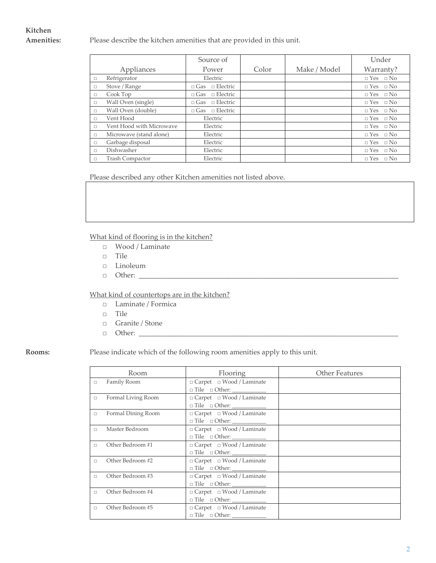# **Kitchen**

**Amenities:** Please describe the kitchen amenities that are provided in this unit.

|        |                          | Source of                  |       |              | Under                |
|--------|--------------------------|----------------------------|-------|--------------|----------------------|
|        | Appliances               | Power                      | Color | Make / Model | Warranty?            |
| $\Box$ | Refrigerator             | Electric                   |       |              | $\Box$ Yes $\Box$ No |
| $\Box$ | Stove / Range            | $\Box$ Gas $\Box$ Electric |       |              | $\Box$ Yes $\Box$ No |
| $\Box$ | Cook Top                 | $\Box$ Gas $\Box$ Electric |       |              | $\Box$ Yes $\Box$ No |
| $\Box$ | Wall Oven (single)       | $\Box$ Gas $\Box$ Electric |       |              | $\Box$ Yes $\Box$ No |
| $\Box$ | Wall Oven (double)       | $\Box$ Gas $\Box$ Electric |       |              | $\Box$ Yes $\Box$ No |
| $\Box$ | Vent Hood                | Electric                   |       |              | $\Box$ Yes $\Box$ No |
| $\Box$ | Vent Hood with Microwave | Electric                   |       |              | $\Box$ Yes $\Box$ No |
| $\Box$ | Microwave (stand alone)  | Electric                   |       |              | $\Box$ Yes $\Box$ No |
| $\Box$ | Garbage disposal         | Electric                   |       |              | $\Box$ Yes $\Box$ No |
| $\Box$ | Dishwasher               | Electric                   |       |              | $\Box$ Yes $\Box$ No |
| $\Box$ | <b>Trash Compactor</b>   | Electric                   |       |              | $\Box$ Yes $\Box$ No |

Please described any other Kitchen amenities not listed above.

### What kind of flooring is in the kitchen?

- □ Wood / Laminate
- □ Tile
- □ Linoleum
- □ Other: \_\_\_\_\_\_\_\_\_\_\_\_\_\_\_\_\_\_\_\_\_\_\_\_\_\_\_\_\_\_\_\_\_\_\_\_\_\_\_\_\_\_\_\_\_\_\_\_\_\_\_\_\_\_\_\_\_\_\_\_\_\_\_\_\_\_\_\_\_\_\_\_\_

### What kind of countertops are in the kitchen?

- □ Laminate / Formica
- □ Tile
- □ Granite / Stone
- □ Other: \_\_\_\_\_\_\_\_\_\_\_\_\_\_\_\_\_\_\_\_\_\_\_\_\_\_\_\_\_\_\_\_\_\_\_\_\_\_\_\_\_\_\_\_\_\_\_\_\_\_\_\_\_\_\_\_\_\_\_\_\_\_\_\_\_\_\_\_\_\_\_\_\_

### **Rooms:** Please indicate which of the following room amenities apply to this unit.

|        | Room               | Flooring                                                                                        | <b>Other Features</b> |
|--------|--------------------|-------------------------------------------------------------------------------------------------|-----------------------|
| $\Box$ | Family Room        | $\Box$ Carpet $\Box$ Wood / Laminate<br>$\hfill \Box$ $\hfill \Box$ $\hfill \Box$ $\hfill \Box$ |                       |
| $\Box$ | Formal Living Room | □ Carpet □ Wood / Laminate                                                                      |                       |
| $\Box$ | Formal Dining Room | □ Carpet □ Wood / Laminate                                                                      |                       |
| $\Box$ | Master Bedroom     | $\Box$ Carpet $\Box$ Wood / Laminate                                                            |                       |
| $\Box$ | Other Bedroom #1   | □ Carpet □ Wood / Laminate                                                                      |                       |
| П.     | Other Bedroom #2   | $\Box$ Carpet $\Box$ Wood / Laminate                                                            |                       |
| П.     | Other Bedroom #3   | □ Carpet □ Wood / Laminate                                                                      |                       |
| $\Box$ | Other Bedroom #4   | □ Carpet □ Wood / Laminate                                                                      |                       |
| $\Box$ | Other Bedroom #5   | $\Box$ Carpet $\Box$ Wood / Laminate                                                            |                       |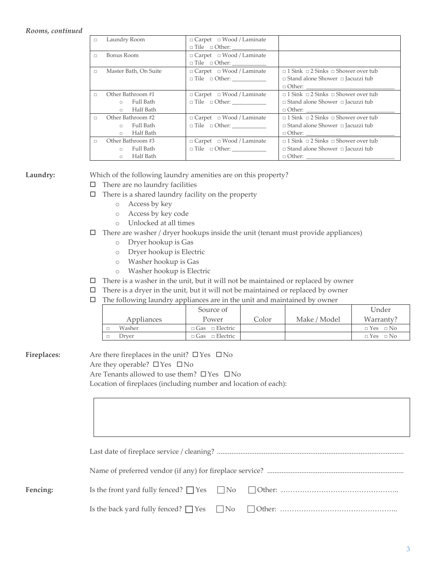### *Rooms, continued*

| $\Box$ | Laundry Room          | $\Box$ Carpet $\Box$ Wood / Laminate |                                                     |
|--------|-----------------------|--------------------------------------|-----------------------------------------------------|
|        |                       |                                      |                                                     |
| $\Box$ | Bonus Room            | $\Box$ Carpet $\Box$ Wood / Laminate |                                                     |
|        |                       |                                      |                                                     |
| $\Box$ | Master Bath, On Suite | □ Carpet □ Wood / Laminate           | $\Box$ 1 Sink $\Box$ 2 Sinks $\Box$ Shower over tub |
|        |                       | $\Box$ Tile $\Box$ Other:            | $\Box$ Stand alone Shower $\Box$ Jacuzzi tub        |
|        |                       |                                      |                                                     |
| П.     | Other Bathroom #1     | $\Box$ Carpet $\Box$ Wood / Laminate | $\Box$ 1 Sink $\Box$ 2 Sinks $\Box$ Shower over tub |
|        | Full Bath<br>$\circ$  | $\Box$ Tile $\Box$ Other:            | $\Box$ Stand alone Shower $\Box$ Jacuzzi tub        |
|        | Half Bath<br>$\circ$  |                                      |                                                     |
| $\Box$ | Other Bathroom #2     | $\Box$ Carpet $\Box$ Wood / Laminate | $\Box$ 1 Sink $\Box$ 2 Sinks $\Box$ Shower over tub |
|        | Full Bath<br>$\circ$  | $\Box$ Tile $\Box$ Other:            | $\Box$ Stand alone Shower $\Box$ Jacuzzi tub        |
|        | Half Bath<br>$\circ$  |                                      |                                                     |
| $\Box$ | Other Bathroom #3     | $\Box$ Carpet $\Box$ Wood / Laminate | $\Box$ 1 Sink $\Box$ 2 Sinks $\Box$ Shower over tub |
|        | Full Bath<br>$\circ$  | $\Box$ Tile $\Box$ Other:            | $\Box$ Stand alone Shower $\Box$ Jacuzzi tub        |
|        | Half Bath<br>$\circ$  |                                      |                                                     |

**Laundry:** Which of the following laundry amenities are on this property?

- $\Box$  There are no laundry facilities
- $\Box$  There is a shared laundry facility on the property
	- o Access by key
	- o Access by key code
	- o Unlocked at all times
- $\Box$  There are washer / dryer hookups inside the unit (tenant must provide appliances)
	- o Dryer hookup is Gas
	- o Dryer hookup is Electric
	- o Washer hookup is Gas
	- o Washer hookup is Electric
- $\Box$  There is a washer in the unit, but it will not be maintained or replaced by owner
- $\Box$  There is a dryer in the unit, but it will not be maintained or replaced by owner
- $\Box$  The following laundry appliances are in the unit and maintained by owner

|            | Source of                  |       |              | Under                   |
|------------|----------------------------|-------|--------------|-------------------------|
| Appliances | Power                      | Color | Make / Model | Warranty?               |
| Washer     | $\Box$ Gas $\Box$ Electric |       |              | $\Box$ Yes $\Box$ No    |
| Drver      | $\Box$ Gas $\Box$ Electric |       |              | $\Box$ No<br>$\Box$ Yes |

**Fireplaces:** Are there fireplaces in the unit? ☐Yes ☐No Are they operable?  $\square$  Yes  $\square$  No Are Tenants allowed to use them? □ Yes □ No Location of fireplaces (including number and location of each):

| Fencing: |  |
|----------|--|
|          |  |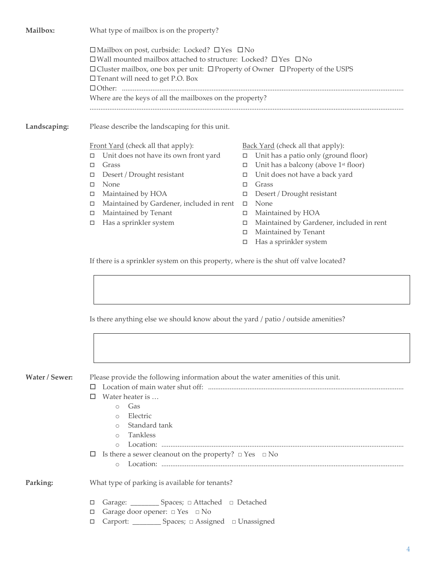**Mailbox:** What type of mailbox is on the property? ☐Mailbox on post, curbside: Locked? ☐Yes ☐No ☐Wall mounted mailbox attached to structure: Locked? ☐Yes ☐No ☐Cluster mailbox, one box per unit: ☐Property of Owner ☐Property of the USPS ☐Tenant will need to get P.O. Box ☐Other: ............................................................................................................................................................. Where are the keys of all the mailboxes on the property? ............................................................................................................................................................................... **Landscaping:** Please describe the landscaping for this unit. Front Yard (check all that apply):  $\Box$  Unit does not have its own front yard □ Grass Desert / Drought resistant None □ Maintained by HOA  $\Box$  Maintained by Gardener, included in rent  $\Box$  Maintained by Tenant □ Has a sprinkler system Back Yard (check all that apply):  $\Box$  Unit has a patio only (ground floor)  $\Box$  Unit has a balcony (above 1<sup>st</sup> floor) Unit does not have a back yard □ Grass Desert / Drought resistant None □ Maintained by HOA Maintained by Gardener, included in rent Maintained by Tenant  $\Box$  Has a sprinkler system If there is a sprinkler system on this property, where is the shut off valve located?

Is there anything else we should know about the yard / patio / outside amenities?

**Water / Sewer:** Please provide the following information about the water amenities of this unit.

- Location of main water shut off: .............................................................................................................
- $\Box$  Water heater is ...
	- o Gas
	- o Electric
	- o Standard tank
	- o Tankless
	- o Location: .......................................................................................................................................
- Is there a sewer cleanout on the property? □ Yes □ No
	- o Location: .......................................................................................................................................

- **Parking:** What type of parking is available for tenants?
	- Garage: \_\_\_\_\_\_\_\_ Spaces; □ Attached □ Detached
	- Garage door opener: □ Yes □ No
	- Carport: \_\_\_\_\_\_\_\_ Spaces; □ Assigned □ Unassigned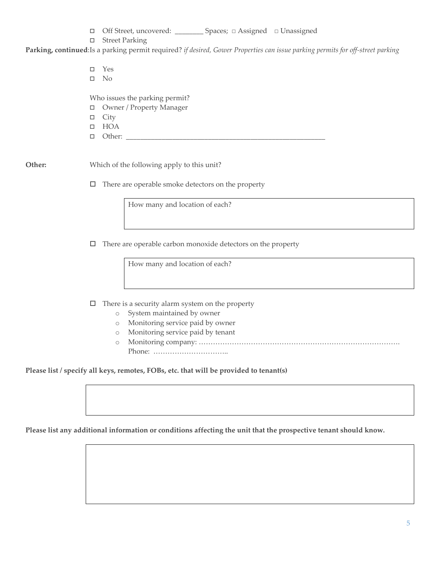| □ Off Street, uncovered: |  | Spaces; $\Box$ Assigned $\Box$ Unassigned |
|--------------------------|--|-------------------------------------------|
|                          |  |                                           |

□ Street Parking

**Parking, continued**:Is a parking permit required? *if desired, Gower Properties can issue parking permits for off-street parking*

Yes

 $\square$  No

Who issues the parking permit?

- Owner / Property Manager
- $\Box$  City
- HOA
- $\Box$  Other: \_

**Other:** Which of the following apply to this unit?

 $\Box$  There are operable smoke detectors on the property

How many and location of each?

 $\Box$  There are operable carbon monoxide detectors on the property

How many and location of each?

 $\Box$  There is a security alarm system on the property

- o System maintained by owner
- o Monitoring service paid by owner
- o Monitoring service paid by tenant
- o Monitoring company: …………………………………………………………………………. Phone: …………………………..

**Please list / specify all keys, remotes, FOBs, etc. that will be provided to tenant(s)**

**Please list any additional information or conditions affecting the unit that the prospective tenant should know.**